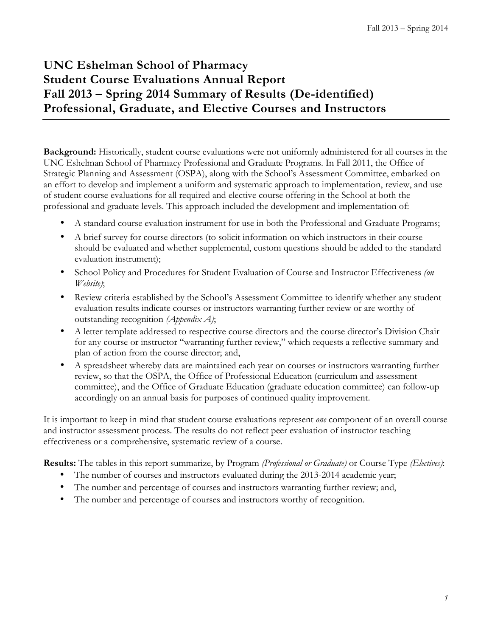## **UNC Eshelman School of Pharmacy Student Course Evaluations Annual Report Fall 2013 – Spring 2014 Summary of Results (De-identified) Professional, Graduate, and Elective Courses and Instructors**

**Background:** Historically, student course evaluations were not uniformly administered for all courses in the UNC Eshelman School of Pharmacy Professional and Graduate Programs. In Fall 2011, the Office of Strategic Planning and Assessment (OSPA), along with the School's Assessment Committee, embarked on an effort to develop and implement a uniform and systematic approach to implementation, review, and use of student course evaluations for all required and elective course offering in the School at both the professional and graduate levels. This approach included the development and implementation of:

- A standard course evaluation instrument for use in both the Professional and Graduate Programs;
- A brief survey for course directors (to solicit information on which instructors in their course should be evaluated and whether supplemental, custom questions should be added to the standard evaluation instrument);
- School Policy and Procedures for Student Evaluation of Course and Instructor Effectiveness *(on Website)*;
- Review criteria established by the School's Assessment Committee to identify whether any student evaluation results indicate courses or instructors warranting further review or are worthy of outstanding recognition *(Appendix A)*;
- A letter template addressed to respective course directors and the course director's Division Chair for any course or instructor "warranting further review," which requests a reflective summary and plan of action from the course director; and,
- A spreadsheet whereby data are maintained each year on courses or instructors warranting further review, so that the OSPA, the Office of Professional Education (curriculum and assessment committee), and the Office of Graduate Education (graduate education committee) can follow-up accordingly on an annual basis for purposes of continued quality improvement.

It is important to keep in mind that student course evaluations represent *one* component of an overall course and instructor assessment process. The results do not reflect peer evaluation of instructor teaching effectiveness or a comprehensive, systematic review of a course.

**Results:** The tables in this report summarize, by Program *(Professional or Graduate)* or Course Type *(Electives)*:

- The number of courses and instructors evaluated during the 2013-2014 academic year;
- The number and percentage of courses and instructors warranting further review; and,
- The number and percentage of courses and instructors worthy of recognition.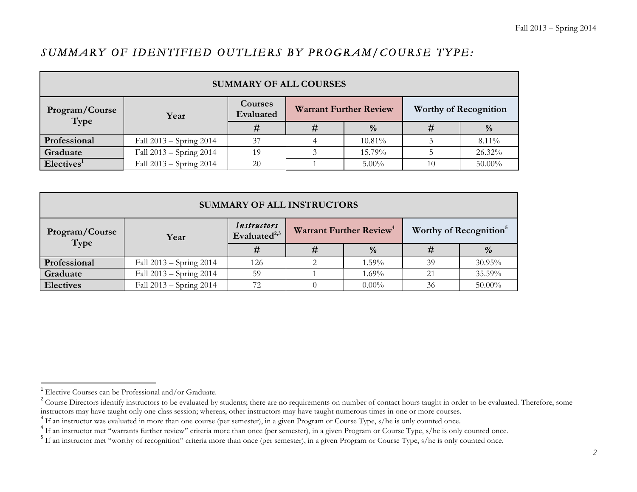### *SUMMARY OF IDENTIFIED OUTLIERS BY PROGRAM/COURSE TYPE:*

| <b>SUMMARY OF ALL COURSES</b> |                         |                             |   |                               |  |                              |  |  |
|-------------------------------|-------------------------|-----------------------------|---|-------------------------------|--|------------------------------|--|--|
| Program/Course<br>Type        | Year                    | <b>Courses</b><br>Evaluated |   | <b>Warrant Further Review</b> |  | <b>Worthy of Recognition</b> |  |  |
|                               |                         | #                           | # | $\%$                          |  | $\frac{0}{0}$                |  |  |
| Professional                  | Fall 2013 – Spring 2014 | 37                          |   | 10.81%                        |  | $8.11\%$                     |  |  |
| Graduate                      | Fall 2013 – Spring 2014 | 19                          |   | 15.79%                        |  | $26.32\%$                    |  |  |
| Electives <sup>1</sup>        | Fall 2013 – Spring 2014 | 20                          |   | $5.00\%$                      |  | $50.00\%$                    |  |  |

| <b>SUMMARY OF ALL INSTRUCTORS</b> |                         |                                         |   |                                     |    |                                    |  |  |
|-----------------------------------|-------------------------|-----------------------------------------|---|-------------------------------------|----|------------------------------------|--|--|
| Program/Course<br>Type            | Year                    | Instructors<br>Evaluated <sup>2,3</sup> |   | Warrant Further Review <sup>4</sup> |    | Worthy of Recognition <sup>5</sup> |  |  |
|                                   |                         | #                                       | # | $\frac{a}{2}$                       | #  | $\frac{0}{0}$                      |  |  |
| Professional                      | Fall 2013 – Spring 2014 | 126                                     |   | $1.59\%$                            | 39 | 30.95%                             |  |  |
| Graduate                          | Fall 2013 - Spring 2014 | 59                                      |   | $1.69\%$                            | 21 | 35.59%                             |  |  |
| <b>Electives</b>                  | Fall 2013 - Spring 2014 | 72                                      |   | $0.00\%$                            | 36 | $50.00\%$                          |  |  |

<u> 1989 - Jan Samuel Barbara, margaret e</u>

<sup>&</sup>lt;sup>1</sup> Elective Courses can be Professional and/or Graduate.

<sup>&</sup>lt;sup>2</sup> Course Directors identify instructors to be evaluated by students; there are no requirements on number of contact hours taught in order to be evaluated. Therefore, some instructors may have taught numerous times in one

<sup>&</sup>lt;sup>3</sup> If an instructor was evaluated in more than one course (per semester), in a given Program or Course Type, s/he is only counted once.<br><sup>4</sup> If an instructor met "warrants further review" criteria more than once (per semes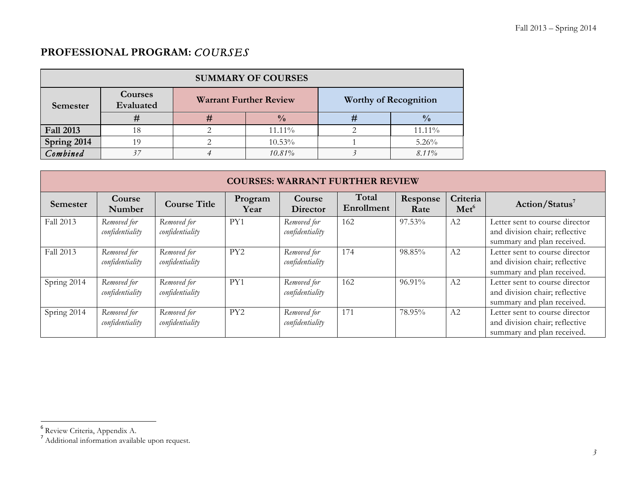## **PROFESSIONAL PROGRAM:** *COURSES*

| <b>SUMMARY OF COURSES</b> |                      |   |                               |                              |               |  |  |  |  |
|---------------------------|----------------------|---|-------------------------------|------------------------------|---------------|--|--|--|--|
| Semester                  | Courses<br>Evaluated |   | <b>Warrant Further Review</b> | <b>Worthy of Recognition</b> |               |  |  |  |  |
|                           |                      | # | $\frac{0}{0}$                 | #                            | $\frac{0}{0}$ |  |  |  |  |
| <b>Fall 2013</b>          | 18                   |   | 11.11%                        |                              | 11.11%        |  |  |  |  |
| Spring 2014               | 19                   |   | 10.53%                        |                              | 5.26%         |  |  |  |  |
| Combined                  |                      |   | 10.81%                        |                              | $8.11\%$      |  |  |  |  |

|                 | <b>COURSES: WARRANT FURTHER REVIEW</b> |                                |                 |                                |                     |                  |                              |                                                                                                |  |
|-----------------|----------------------------------------|--------------------------------|-----------------|--------------------------------|---------------------|------------------|------------------------------|------------------------------------------------------------------------------------------------|--|
| <b>Semester</b> | Course<br>Number                       | <b>Course Title</b>            | Program<br>Year | Course<br><b>Director</b>      | Total<br>Enrollment | Response<br>Rate | Criteria<br>Met <sup>6</sup> | Action/Status <sup>7</sup>                                                                     |  |
| Fall 2013       | Removed for<br>confidentiality         | Removed for<br>confidentiality | PY1             | Removed for<br>confidentiality | 162                 | 97.53%           | A2                           | Letter sent to course director<br>and division chair; reflective<br>summary and plan received. |  |
| Fall 2013       | Removed for<br>confidentiality         | Removed for<br>confidentiality | PY <sub>2</sub> | Removed for<br>confidentiality | 174                 | 98.85%           | A2                           | Letter sent to course director<br>and division chair; reflective<br>summary and plan received. |  |
| Spring 2014     | Removed for<br>confidentiality         | Removed for<br>confidentiality | PY1             | Removed for<br>confidentiality | 162                 | 96.91%           | A2                           | Letter sent to course director<br>and division chair; reflective<br>summary and plan received. |  |
| Spring 2014     | Removed for<br>confidentiality         | Removed for<br>confidentiality | PY <sub>2</sub> | Removed for<br>confidentiality | 171                 | 78.95%           | A2                           | Letter sent to course director<br>and division chair; reflective<br>summary and plan received. |  |

<u> 1989 - Jan Samuel Barbara, margaret e</u>

<sup>6</sup> Review Criteria, Appendix A.

<sup>&</sup>lt;sup>7</sup> Additional information available upon request.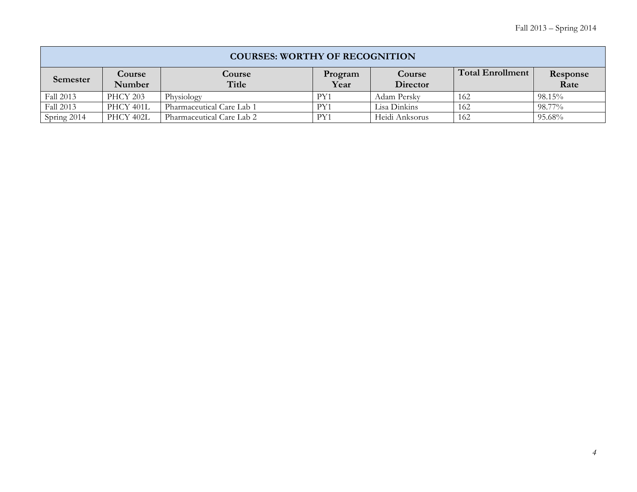| <b>COURSES: WORTHY OF RECOGNITION</b> |                  |                           |                 |                    |                  |                  |  |  |
|---------------------------------------|------------------|---------------------------|-----------------|--------------------|------------------|------------------|--|--|
| Semester                              | Course<br>Number | <b>Course</b><br>Title    | Program<br>Year | Course<br>Director | Total Enrollment | Response<br>Rate |  |  |
| Fall 2013                             | <b>PHCY 203</b>  | Physiology                | PY1             | Adam Perskv        | 162              | 98.15%           |  |  |
| Fall 2013                             | PHCY 401L        | Pharmaceutical Care Lab 1 | PY1             | Lisa Dinkins       | 162              | 98.77%           |  |  |
| Spring 2014                           | PHCY 402L        | Pharmaceutical Care Lab 2 | PY1             | Heidi Anksorus     | 162              | 95.68%           |  |  |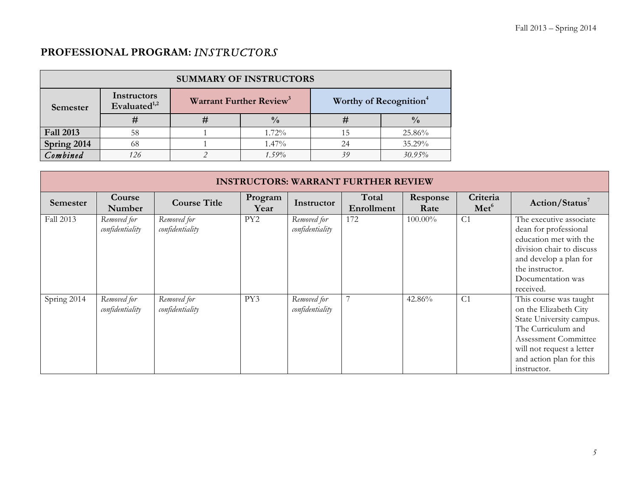## **PROFESSIONAL PROGRAM:** *INSTRUCTORS*

| <b>SUMMARY OF INSTRUCTORS</b> |                                |   |                                     |                                    |               |  |  |  |  |
|-------------------------------|--------------------------------|---|-------------------------------------|------------------------------------|---------------|--|--|--|--|
| Semester                      | Instructors<br>Evaluated $1,2$ |   | Warrant Further Review <sup>3</sup> | Worthy of Recognition <sup>4</sup> |               |  |  |  |  |
|                               | #                              | # | $\frac{0}{0}$                       | #                                  | $\frac{0}{0}$ |  |  |  |  |
| <b>Fall 2013</b>              | 58                             |   | $1.72\%$                            |                                    | 25.86%        |  |  |  |  |
| Spring 2014                   | 68                             |   | $1.47\%$                            | 24                                 | 35.29%        |  |  |  |  |
| Combined                      | 126                            |   | $1.59\%$                            | 39                                 | 30.95%        |  |  |  |  |

|                 | <b>INSTRUCTORS: WARRANT FURTHER REVIEW</b> |                                |                 |                                |                     |                  |                              |                                                                                                                                                                                                   |  |
|-----------------|--------------------------------------------|--------------------------------|-----------------|--------------------------------|---------------------|------------------|------------------------------|---------------------------------------------------------------------------------------------------------------------------------------------------------------------------------------------------|--|
| <b>Semester</b> | Course<br>Number                           | <b>Course Title</b>            | Program<br>Year | Instructor                     | Total<br>Enrollment | Response<br>Rate | Criteria<br>Met <sup>6</sup> | Action/Status <sup>7</sup>                                                                                                                                                                        |  |
| Fall 2013       | Removed for<br>confidentiality             | Removed for<br>confidentiality | PY <sub>2</sub> | Removed for<br>confidentiality | 172                 | $100.00\%$       | C <sub>1</sub>               | The executive associate<br>dean for professional<br>education met with the<br>division chair to discuss<br>and develop a plan for<br>the instructor.<br>Documentation was<br>received.            |  |
| Spring 2014     | Removed for<br>confidentiality             | Removed for<br>confidentiality | PY3             | Removed for<br>confidentiality | $\overline{7}$      | 42.86%           | C <sub>1</sub>               | This course was taught<br>on the Elizabeth City<br>State University campus.<br>The Curriculum and<br>Assessment Committee<br>will not request a letter<br>and action plan for this<br>instructor. |  |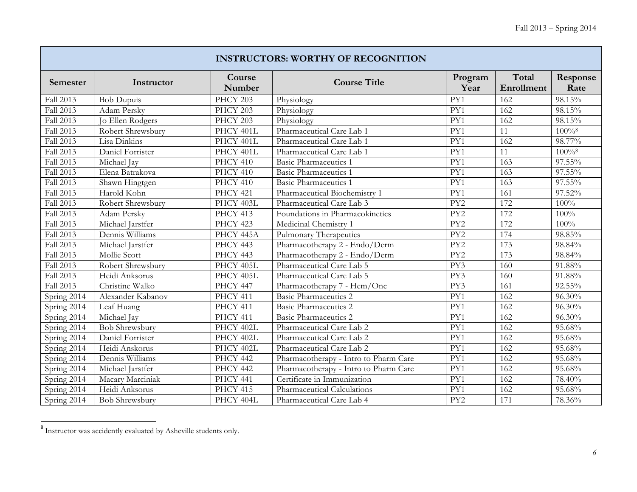|             | <b>INSTRUCTORS: WORTHY OF RECOGNITION</b> |                  |                                       |                  |                     |                      |  |  |  |  |
|-------------|-------------------------------------------|------------------|---------------------------------------|------------------|---------------------|----------------------|--|--|--|--|
| Semester    | Instructor                                | Course<br>Number | <b>Course Title</b>                   | Program<br>Year  | Total<br>Enrollment | Response<br>Rate     |  |  |  |  |
| Fall 2013   | <b>Bob Dupuis</b>                         | <b>PHCY 203</b>  | Physiology                            | $\overline{PY1}$ | 162                 | 98.15%               |  |  |  |  |
| Fall 2013   | Adam Persky                               | PHCY 203         | Physiology                            | PY1              | 162                 | 98.15%               |  |  |  |  |
| Fall 2013   | Jo Ellen Rodgers                          | PHCY 203         | Physiology                            | PY1              | 162                 | 98.15%               |  |  |  |  |
| Fall 2013   | Robert Shrewsbury                         | PHCY 401L        | Pharmaceutical Care Lab 1             | PY1              | 11                  | $100\%$ <sup>8</sup> |  |  |  |  |
| Fall 2013   | Lisa Dinkins                              | PHCY 401L        | Pharmaceutical Care Lab 1             | PY1              | 162                 | 98.77%               |  |  |  |  |
| Fall 2013   | Daniel Forrister                          | PHCY 401L        | Pharmaceutical Care Lab 1             | PY1              | 11                  | $100\%$ <sup>8</sup> |  |  |  |  |
| Fall 2013   | Michael Jay                               | PHCY 410         | <b>Basic Pharmaceutics 1</b>          | PY1              | 163                 | 97.55%               |  |  |  |  |
| Fall 2013   | Elena Batrakova                           | PHCY 410         | <b>Basic Pharmaceutics 1</b>          | $\overline{PY1}$ | 163                 | 97.55%               |  |  |  |  |
| Fall 2013   | Shawn Hingtgen                            | PHCY 410         | <b>Basic Pharmaceutics 1</b>          | PY1              | 163                 | 97.55%               |  |  |  |  |
| Fall 2013   | Harold Kohn                               | <b>PHCY 421</b>  | Pharmaceutical Biochemistry 1         | PY1              | 161                 | 97.52%               |  |  |  |  |
| Fall 2013   | Robert Shrewsbury                         | PHCY 403L        | Pharmaceutical Care Lab 3             | PY2              | 172                 | 100%                 |  |  |  |  |
| Fall 2013   | Adam Persky                               | PHCY 413         | Foundations in Pharmacokinetics       | PY <sub>2</sub>  | 172                 | 100%                 |  |  |  |  |
| Fall 2013   | Michael Jarstfer                          | PHCY 423         | Medicinal Chemistry 1                 | PY <sub>2</sub>  | 172                 | 100%                 |  |  |  |  |
| Fall 2013   | Dennis Williams                           | PHCY 445A        | Pulmonary Therapeutics                | $\overline{PY2}$ | 174                 | 98.85%               |  |  |  |  |
| Fall 2013   | Michael Jarstfer                          | PHCY 443         | Pharmacotherapy 2 - Endo/Derm         | $\overline{PY2}$ | 173                 | 98.84%               |  |  |  |  |
| Fall 2013   | Mollie Scott                              | PHCY 443         | Pharmacotherapy 2 - Endo/Derm         | PY <sub>2</sub>  | 173                 | 98.84%               |  |  |  |  |
| Fall 2013   | Robert Shrewsbury                         | PHCY 405L        | Pharmaceutical Care Lab 5             | PY3              | 160                 | 91.88%               |  |  |  |  |
| Fall 2013   | Heidi Anksorus                            | PHCY 405L        | Pharmaceutical Care Lab 5             | PY3              | 160                 | 91.88%               |  |  |  |  |
| Fall 2013   | Christine Walko                           | PHCY 447         | Pharmacotherapy 7 - Hem/Onc           | PY3              | 161                 | 92.55%               |  |  |  |  |
| Spring 2014 | Alexander Kabanov                         | PHCY 411         | Basic Pharmaceutics 2                 | $\overline{PY1}$ | 162                 | 96.30%               |  |  |  |  |
| Spring 2014 | Leaf Huang                                | PHCY 411         | <b>Basic Pharmaceutics 2</b>          | PY1              | $\overline{162}$    | 96.30%               |  |  |  |  |
| Spring 2014 | Michael Jay                               | PHCY 411         | Basic Pharmaceutics 2                 | PY1              | 162                 | 96.30%               |  |  |  |  |
| Spring 2014 | <b>Bob Shrewsbury</b>                     | PHCY 402L        | Pharmaceutical Care Lab 2             | PY1              | 162                 | 95.68%               |  |  |  |  |
| Spring 2014 | Daniel Forrister                          | PHCY 402L        | Pharmaceutical Care Lab 2             | $\overline{PY1}$ | 162                 | 95.68%               |  |  |  |  |
| Spring 2014 | Heidi Anskorus                            | PHCY 402L        | Pharmaceutical Care Lab 2             | PY1              | 162                 | 95.68%               |  |  |  |  |
| Spring 2014 | Dennis Williams                           | PHCY 442         | Pharmacotherapy - Intro to Pharm Care | PY1              | 162                 | 95.68%               |  |  |  |  |
| Spring 2014 | Michael Jarstfer                          | PHCY 442         | Pharmacotherapy - Intro to Pharm Care | PY1              | 162                 | 95.68%               |  |  |  |  |
| Spring 2014 | Macary Marciniak                          | PHCY 441         | Certificate in Immunization           | PY1              | 162                 | 78.40%               |  |  |  |  |
| Spring 2014 | Heidi Anksorus                            | PHCY 415         | Pharmaceutical Calculations           | PY1              | 162                 | 95.68%               |  |  |  |  |
| Spring 2014 | <b>Bob Shrewsbury</b>                     | PHCY 404L        | Pharmaceutical Care Lab 4             | PY <sub>2</sub>  | 171                 | 78.36%               |  |  |  |  |

<sup>&</sup>lt;sup>8</sup> Instructor was accidently evaluated by Asheville students only.

<u> 1989 - Jan Samuel Barbara, margaret e</u>

Г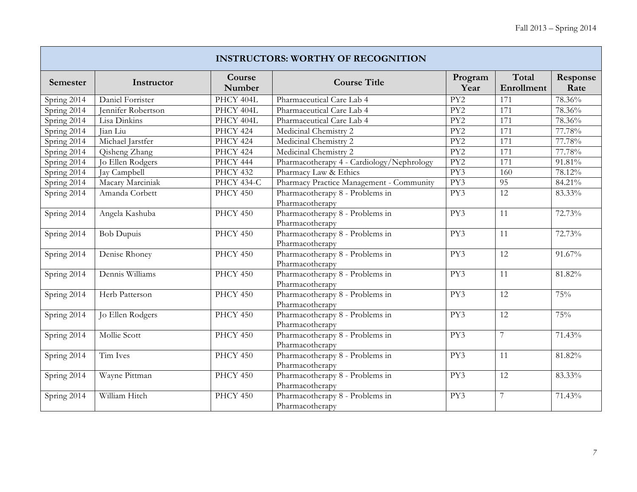Ŧ

|             | <b>INSTRUCTORS: WORTHY OF RECOGNITION</b> |                      |                                                    |                  |                     |                  |  |  |  |  |
|-------------|-------------------------------------------|----------------------|----------------------------------------------------|------------------|---------------------|------------------|--|--|--|--|
| Semester    | Instructor                                | Course<br>Number     | <b>Course Title</b>                                | Program<br>Year  | Total<br>Enrollment | Response<br>Rate |  |  |  |  |
| Spring 2014 | Daniel Forrister                          | PHCY 404L            | Pharmaceutical Care Lab 4                          | $\overline{PY2}$ | 171                 | 78.36%           |  |  |  |  |
| Spring 2014 | Jennifer Robertson                        | PHCY 404L            | Pharmaceutical Care Lab 4                          | PY <sub>2</sub>  | 171                 | 78.36%           |  |  |  |  |
| Spring 2014 | Lisa Dinkins                              | PHCY 404L            | Pharmaceutical Care Lab 4                          | PY <sub>2</sub>  | 171                 | 78.36%           |  |  |  |  |
| Spring 2014 | Jian Liu                                  | PHCY 424             | Medicinal Chemistry 2                              | PY2              | 171                 | 77.78%           |  |  |  |  |
| Spring 2014 | Michael Jarstfer                          | PHCY 424             | Medicinal Chemistry 2                              | PY <sub>2</sub>  | 171                 | 77.78%           |  |  |  |  |
| Spring 2014 | Qisheng Zhang                             | PHCY 424             | Medicinal Chemistry 2                              | PY <sub>2</sub>  | 171                 | 77.78%           |  |  |  |  |
| Spring 2014 | Jo Ellen Rodgers                          | PHCY 444             | Pharmacotherapy 4 - Cardiology/Nephrology          | PY <sub>2</sub>  | 171                 | 91.81%           |  |  |  |  |
| Spring 2014 | <b>Jay Campbell</b>                       | PHCY 432             | Pharmacy Law & Ethics                              | PY3              | 160                 | 78.12%           |  |  |  |  |
| Spring 2014 | Macary Marciniak                          | PHCY 434-C           | Pharmacy Practice Management - Community           | PY3              | 95                  | 84.21%           |  |  |  |  |
| Spring 2014 | Amanda Corbett                            | PHCY 450             | Pharmacotherapy 8 - Problems in<br>Pharmacotherapy | PY3              | 12                  | 83.33%           |  |  |  |  |
| Spring 2014 | Angela Kashuba                            | $\overline{PHCY450}$ | Pharmacotherapy 8 - Problems in<br>Pharmacotherapy | PY3              | 11                  | 72.73%           |  |  |  |  |
| Spring 2014 | <b>Bob Dupuis</b>                         | PHCY 450             | Pharmacotherapy 8 - Problems in<br>Pharmacotherapy | PY3              | 11                  | 72.73%           |  |  |  |  |
| Spring 2014 | Denise Rhoney                             | PHCY 450             | Pharmacotherapy 8 - Problems in<br>Pharmacotherapy | PY3              | 12                  | 91.67%           |  |  |  |  |
| Spring 2014 | Dennis Williams                           | PHCY 450             | Pharmacotherapy 8 - Problems in<br>Pharmacotherapy | PY3              | 11                  | 81.82%           |  |  |  |  |
| Spring 2014 | Herb Patterson                            | PHCY 450             | Pharmacotherapy 8 - Problems in<br>Pharmacotherapy | PY3              | 12                  | 75%              |  |  |  |  |
| Spring 2014 | Jo Ellen Rodgers                          | PHCY 450             | Pharmacotherapy 8 - Problems in<br>Pharmacotherapy | PY3              | 12                  | 75%              |  |  |  |  |
| Spring 2014 | Mollie Scott                              | PHCY 450             | Pharmacotherapy 8 - Problems in<br>Pharmacotherapy | $\overline{PY3}$ | $\overline{7}$      | 71.43%           |  |  |  |  |
| Spring 2014 | Tim Ives                                  | PHCY 450             | Pharmacotherapy 8 - Problems in<br>Pharmacotherapy | PY3              | 11                  | 81.82%           |  |  |  |  |
| Spring 2014 | Wayne Pittman                             | PHCY 450             | Pharmacotherapy 8 - Problems in<br>Pharmacotherapy | PY3              | 12                  | 83.33%           |  |  |  |  |
| Spring 2014 | William Hitch                             | PHCY 450             | Pharmacotherapy 8 - Problems in<br>Pharmacotherapy | PY3              | 7                   | 71.43%           |  |  |  |  |

 $\mathbb{R}$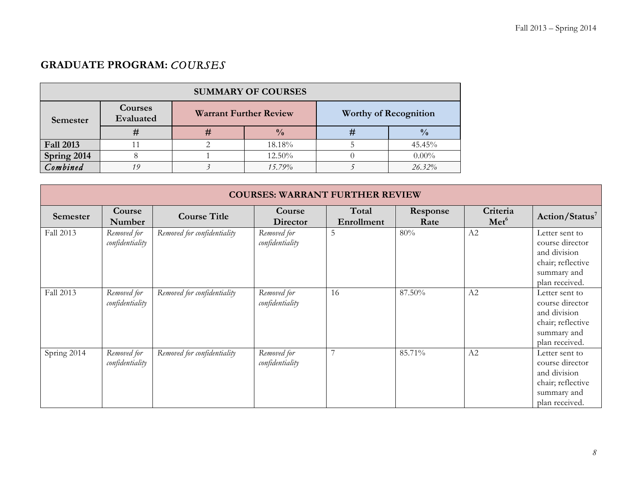# **GRADUATE PROGRAM:** *COURSES*

| <b>SUMMARY OF COURSES</b> |                      |   |                               |    |                              |  |  |  |  |
|---------------------------|----------------------|---|-------------------------------|----|------------------------------|--|--|--|--|
| Semester                  | Courses<br>Evaluated |   | <b>Warrant Further Review</b> |    | <b>Worthy of Recognition</b> |  |  |  |  |
|                           |                      | # | $\frac{0}{0}$                 | 77 | $\frac{0}{0}$                |  |  |  |  |
| <b>Fall 2013</b>          |                      |   | 18.18%                        |    | 45.45%                       |  |  |  |  |
| Spring 2014               |                      |   | 12.50%                        |    | $0.00\%$                     |  |  |  |  |
| Combined                  | 19                   |   | 15.79%                        |    | $26.32\%$                    |  |  |  |  |

|                 | <b>COURSES: WARRANT FURTHER REVIEW</b> |                             |                    |                     |                  |                              |                            |  |  |  |
|-----------------|----------------------------------------|-----------------------------|--------------------|---------------------|------------------|------------------------------|----------------------------|--|--|--|
| <b>Semester</b> | Course<br>Number                       | <b>Course Title</b>         | Course<br>Director | Total<br>Enrollment | Response<br>Rate | Criteria<br>Met <sup>6</sup> | Action/Status <sup>7</sup> |  |  |  |
| Fall 2013       | Removed for                            | Removed for confidentiality | Removed for        | 5                   | 80%              | A2                           | Letter sent to             |  |  |  |
|                 | confidentiality                        |                             | confidentiality    |                     |                  |                              | course director            |  |  |  |
|                 |                                        |                             |                    |                     |                  |                              | and division               |  |  |  |
|                 |                                        |                             |                    |                     |                  |                              | chair; reflective          |  |  |  |
|                 |                                        |                             |                    |                     |                  |                              | summary and                |  |  |  |
|                 |                                        |                             |                    |                     |                  |                              | plan received.             |  |  |  |
| Fall 2013       | Removed for                            | Removed for confidentiality | Removed for        | 16                  | 87.50%           | A2                           | Letter sent to             |  |  |  |
|                 | confidentiality                        |                             | confidentiality    |                     |                  |                              | course director            |  |  |  |
|                 |                                        |                             |                    |                     |                  |                              | and division               |  |  |  |
|                 |                                        |                             |                    |                     |                  |                              | chair; reflective          |  |  |  |
|                 |                                        |                             |                    |                     |                  |                              | summary and                |  |  |  |
|                 |                                        |                             |                    |                     |                  |                              | plan received.             |  |  |  |
| Spring 2014     | Removed for                            | Removed for confidentiality | Removed for        | 7                   | 85.71%           | A2                           | Letter sent to             |  |  |  |
|                 | confidentiality                        |                             | confidentiality    |                     |                  |                              | course director            |  |  |  |
|                 |                                        |                             |                    |                     |                  |                              | and division               |  |  |  |
|                 |                                        |                             |                    |                     |                  |                              | chair; reflective          |  |  |  |
|                 |                                        |                             |                    |                     |                  |                              | summary and                |  |  |  |
|                 |                                        |                             |                    |                     |                  |                              | plan received.             |  |  |  |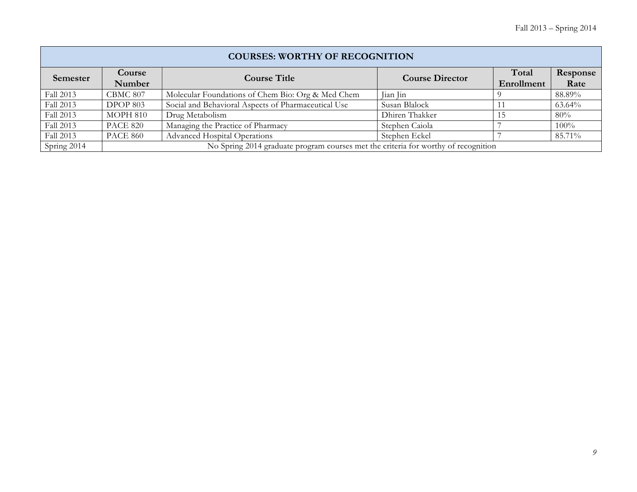|                 | <b>COURSES: WORTHY OF RECOGNITION</b> |                                                                                    |                        |                     |                  |  |  |  |  |  |
|-----------------|---------------------------------------|------------------------------------------------------------------------------------|------------------------|---------------------|------------------|--|--|--|--|--|
| <b>Semester</b> | Course<br>Number                      | <b>Course Title</b>                                                                | <b>Course Director</b> | Total<br>Enrollment | Response<br>Rate |  |  |  |  |  |
| Fall 2013       | CBMC 807                              | Molecular Foundations of Chem Bio: Org & Med Chem                                  | Jian Jin               |                     | 88.89%           |  |  |  |  |  |
| Fall 2013       | DPOP 803                              | Social and Behavioral Aspects of Pharmaceutical Use                                | Susan Blalock          |                     | 63.64%           |  |  |  |  |  |
| Fall 2013       | MOPH 810                              | Drug Metabolism                                                                    | Dhiren Thakker         | 15                  | 80%              |  |  |  |  |  |
| Fall 2013       | <b>PACE 820</b>                       | Managing the Practice of Pharmacy                                                  | Stephen Caiola         |                     | 100%             |  |  |  |  |  |
| Fall 2013       | <b>PACE 860</b>                       | <b>Advanced Hospital Operations</b>                                                | Stephen Eckel          |                     | 85.71%           |  |  |  |  |  |
| Spring 2014     |                                       | No Spring 2014 graduate program courses met the criteria for worthy of recognition |                        |                     |                  |  |  |  |  |  |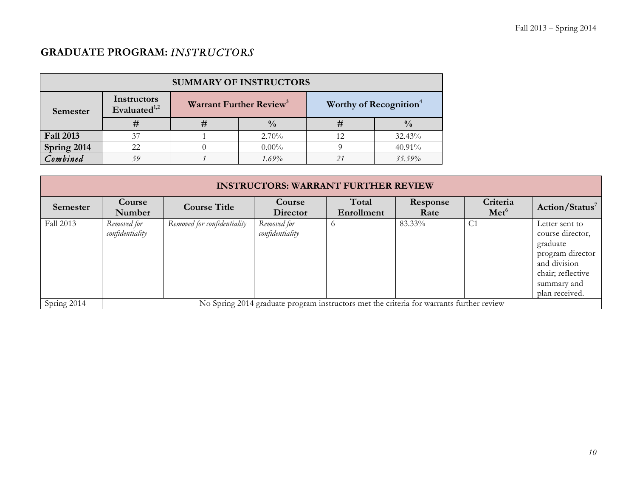## **GRADUATE PROGRAM:** *INSTRUCTORS*

| <b>SUMMARY OF INSTRUCTORS</b> |                                         |                                     |               |                                    |               |  |  |
|-------------------------------|-----------------------------------------|-------------------------------------|---------------|------------------------------------|---------------|--|--|
| Semester                      | Instructors<br>Evaluated <sup>1,2</sup> | Warrant Further Review <sup>3</sup> |               | Worthy of Recognition <sup>4</sup> |               |  |  |
|                               | #                                       | #                                   | $\frac{0}{0}$ | Ħ                                  | $\frac{0}{0}$ |  |  |
| <b>Fall 2013</b>              | 37                                      |                                     | $2.70\%$      | 12                                 | 32.43%        |  |  |
| Spring 2014                   | 22.                                     |                                     | $0.00\%$      |                                    | $40.91\%$     |  |  |
| Combined                      | 59                                      |                                     | $1.69\%$      | 21                                 | 35.59%        |  |  |

| <b>INSTRUCTORS: WARRANT FURTHER REVIEW</b> |                                |                             |                                                                                          |                     |                  |                              |                                                                                                                                          |  |
|--------------------------------------------|--------------------------------|-----------------------------|------------------------------------------------------------------------------------------|---------------------|------------------|------------------------------|------------------------------------------------------------------------------------------------------------------------------------------|--|
| Semester                                   | Course<br>Number               | <b>Course Title</b>         | Course<br><b>Director</b>                                                                | Total<br>Enrollment | Response<br>Rate | Criteria<br>Met <sup>6</sup> | Action/Status <sup>7</sup>                                                                                                               |  |
| Fall 2013                                  | Removed for<br>confidentiality | Removed for confidentiality | Removed for<br>confidentiality                                                           | $\circ$             | 83.33%           | C <sub>1</sub>               | Letter sent to<br>course director,<br>graduate<br>program director<br>and division<br>chair; reflective<br>summary and<br>plan received. |  |
| Spring 2014                                |                                |                             | No Spring 2014 graduate program instructors met the criteria for warrants further review |                     |                  |                              |                                                                                                                                          |  |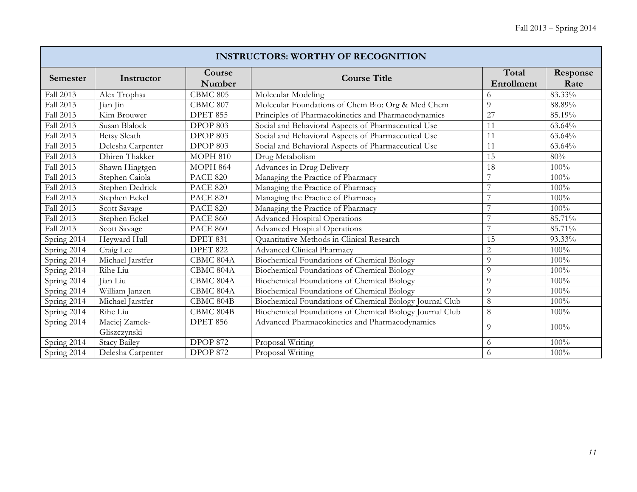| <b>INSTRUCTORS: WORTHY OF RECOGNITION</b> |                               |                      |                                                          |                     |                  |  |  |  |
|-------------------------------------------|-------------------------------|----------------------|----------------------------------------------------------|---------------------|------------------|--|--|--|
| Semester                                  | Instructor                    | Course<br>Number     | <b>Course Title</b>                                      | Total<br>Enrollment | Response<br>Rate |  |  |  |
| Fall 2013                                 | Alex Trophsa                  | <b>CBMC 805</b>      | Molecular Modeling                                       | 6                   | 83.33%           |  |  |  |
| Fall 2013                                 | Jian Jin                      | CBMC 807             | Molecular Foundations of Chem Bio: Org & Med Chem        | 9                   | 88.89%           |  |  |  |
| Fall 2013                                 | Kim Brouwer                   | DPET 855             | Principles of Pharmacokinetics and Pharmacodynamics      | 27                  | 85.19%           |  |  |  |
| Fall 2013                                 | Susan Blalock                 | <b>DPOP 803</b>      | Social and Behavioral Aspects of Pharmaceutical Use      | 11                  | 63.64%           |  |  |  |
| Fall 2013                                 | <b>Betsy Sleath</b>           | $DPO\overline{P803}$ | Social and Behavioral Aspects of Pharmaceutical Use      | $\overline{11}$     | 63.64%           |  |  |  |
| Fall 2013                                 | Delesha Carpenter             | DPOP 803             | Social and Behavioral Aspects of Pharmaceutical Use      | 11                  | 63.64%           |  |  |  |
| Fall 2013                                 | Dhiren Thakker                | <b>MOPH 810</b>      | Drug Metabolism                                          | 15                  | 80%              |  |  |  |
| Fall 2013                                 | Shawn Hingtgen                | <b>MOPH 864</b>      | Advances in Drug Delivery                                | 18                  | 100%             |  |  |  |
| Fall 2013                                 | Stephen Caiola                | <b>PACE 820</b>      | Managing the Practice of Pharmacy                        |                     | 100%             |  |  |  |
| Fall 2013                                 | Stephen Dedrick               | <b>PACE 820</b>      | Managing the Practice of Pharmacy                        | $\overline{7}$      | 100%             |  |  |  |
| Fall 2013                                 | Stephen Eckel                 | <b>PACE 820</b>      | Managing the Practice of Pharmacy                        | ┑                   | 100%             |  |  |  |
| Fall 2013                                 | Scott Savage                  | <b>PACE 820</b>      | Managing the Practice of Pharmacy                        | 7                   | 100%             |  |  |  |
| Fall 2013                                 | Stephen Eckel                 | <b>PACE 860</b>      | <b>Advanced Hospital Operations</b>                      | ┑                   | 85.71%           |  |  |  |
| Fall 2013                                 | Scott Savage                  | <b>PACE 860</b>      | <b>Advanced Hospital Operations</b>                      | $\overline{7}$      | 85.71%           |  |  |  |
| Spring 2014                               | Heyward Hull                  | DPET 831             | Quantitative Methods in Clinical Research                | 15                  | 93.33%           |  |  |  |
| Spring 2014                               | Craig Lee                     | <b>DPET 822</b>      | <b>Advanced Clinical Pharmacy</b>                        | $\overline{2}$      | 100%             |  |  |  |
| Spring 2014                               | Michael Jarstfer              | CBMC 804A            | Biochemical Foundations of Chemical Biology              | $\overline{Q}$      | 100%             |  |  |  |
| Spring 2014                               | Rihe Liu                      | CBMC 804A            | Biochemical Foundations of Chemical Biology              | $\overline{Q}$      | 100%             |  |  |  |
| Spring 2014                               | Jian Liu                      | CBMC 804A            | Biochemical Foundations of Chemical Biology              | 9                   | 100%             |  |  |  |
| Spring 2014                               | William Janzen                | CBMC 804A            | Biochemical Foundations of Chemical Biology              | 9                   | 100%             |  |  |  |
| Spring 2014                               | Michael Jarstfer              | CBMC 804B            | Biochemical Foundations of Chemical Biology Journal Club | 8                   | 100%             |  |  |  |
| Spring 2014                               | Rihe Liu                      | CBMC 804B            | Biochemical Foundations of Chemical Biology Journal Club | 8                   | 100%             |  |  |  |
| Spring 2014                               | Maciej Zamek-<br>Gliszczynski | <b>DPET 856</b>      | Advanced Pharmacokinetics and Pharmacodynamics           | 9                   | 100%             |  |  |  |
| Spring 2014                               | <b>Stacy Bailey</b>           | <b>DPOP 872</b>      | Proposal Writing                                         | 6                   | 100%             |  |  |  |
| Spring 2014                               | Delesha Carpenter             | <b>DPOP 872</b>      | Proposal Writing                                         | 6                   | 100%             |  |  |  |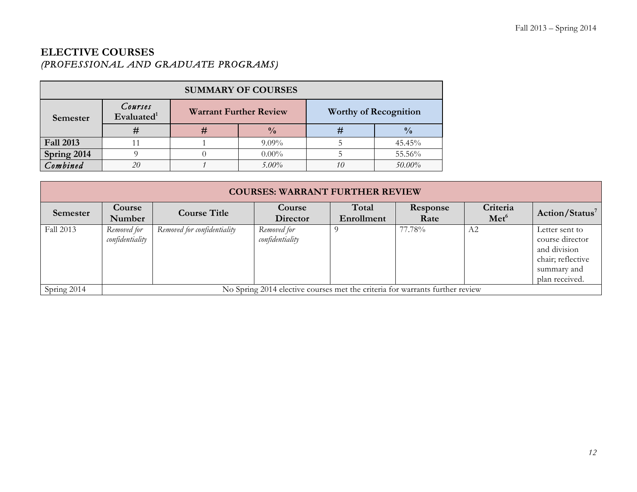### **ELECTIVE COURSES**  *(PROFESSIONAL AND GRADUATE PROGRAMS)*

| <b>SUMMARY OF COURSES</b> |                          |                               |               |                              |               |  |  |
|---------------------------|--------------------------|-------------------------------|---------------|------------------------------|---------------|--|--|
| Semester                  | Courses<br>Evaluated $1$ | <b>Warrant Further Review</b> |               | <b>Worthy of Recognition</b> |               |  |  |
|                           | #                        | #                             | $\frac{0}{0}$ | #                            | $\frac{0}{0}$ |  |  |
| <b>Fall 2013</b>          |                          |                               | $9.09\%$      |                              | 45.45%        |  |  |
| Spring 2014               |                          |                               | $0.00\%$      |                              | 55.56%        |  |  |
| Combined                  | 20                       |                               | $5.00\%$      | 10                           | 50.00%        |  |  |

| <b>COURSES: WARRANT FURTHER REVIEW</b> |                                |                             |                                                                              |                     |                  |                              |                                                                                                         |  |
|----------------------------------------|--------------------------------|-----------------------------|------------------------------------------------------------------------------|---------------------|------------------|------------------------------|---------------------------------------------------------------------------------------------------------|--|
| Semester                               | Course<br>Number               | <b>Course Title</b>         | Course<br><b>Director</b>                                                    | Total<br>Enrollment | Response<br>Rate | Criteria<br>Met <sup>6</sup> | Action/Status <sup>7</sup>                                                                              |  |
| Fall 2013                              | Removed for<br>confidentiality | Removed for confidentiality | Removed for<br>confidentiality                                               |                     | 77.78%           | A2                           | Letter sent to<br>course director<br>and division<br>chair; reflective<br>summary and<br>plan received. |  |
| Spring 2014                            |                                |                             | No Spring 2014 elective courses met the criteria for warrants further review |                     |                  |                              |                                                                                                         |  |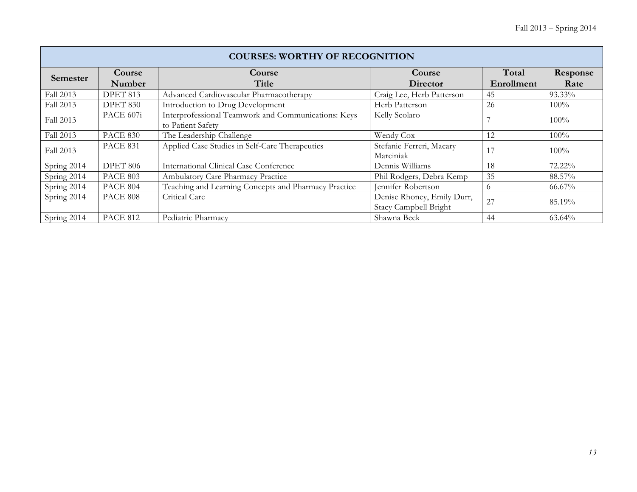| <b>COURSES: WORTHY OF RECOGNITION</b> |                  |                                                                          |                                                     |                     |                  |  |  |  |
|---------------------------------------|------------------|--------------------------------------------------------------------------|-----------------------------------------------------|---------------------|------------------|--|--|--|
| <b>Semester</b>                       | Course<br>Number | Course<br>Title                                                          | Course<br>Director                                  | Total<br>Enrollment | Response<br>Rate |  |  |  |
| Fall 2013                             | DPET 813         | Advanced Cardiovascular Pharmacotherapy                                  | Craig Lee, Herb Patterson                           | 45                  | 93.33%           |  |  |  |
| Fall 2013                             | DPET 830         | Introduction to Drug Development                                         | Herb Patterson                                      | 26                  | $100\%$          |  |  |  |
| Fall 2013                             | PACE 607i        | Interprofessional Teamwork and Communications: Keys<br>to Patient Safety | Kelly Scolaro                                       |                     | $100\%$          |  |  |  |
| Fall 2013                             | <b>PACE 830</b>  | The Leadership Challenge                                                 | Wendy Cox                                           | 12                  | $100\%$          |  |  |  |
| Fall 2013                             | <b>PACE 831</b>  | Applied Case Studies in Self-Care Therapeutics                           | Stefanie Ferreri, Macary<br>Marciniak               | 17                  | 100%             |  |  |  |
| Spring 2014                           | <b>DPET 806</b>  | <b>International Clinical Case Conference</b>                            | Dennis Williams                                     | 18                  | 72.22%           |  |  |  |
| Spring 2014                           | <b>PACE 803</b>  | Ambulatory Care Pharmacy Practice                                        | Phil Rodgers, Debra Kemp                            | 35                  | 88.57%           |  |  |  |
| Spring 2014                           | <b>PACE 804</b>  | Teaching and Learning Concepts and Pharmacy Practice                     | Jennifer Robertson                                  | $\circ$             | 66.67%           |  |  |  |
| Spring 2014                           | <b>PACE 808</b>  | Critical Care                                                            | Denise Rhoney, Emily Durr,<br>Stacy Campbell Bright | 27                  | 85.19%           |  |  |  |
| Spring 2014                           | <b>PACE 812</b>  | Pediatric Pharmacy                                                       | Shawna Beck                                         | 44                  | 63.64%           |  |  |  |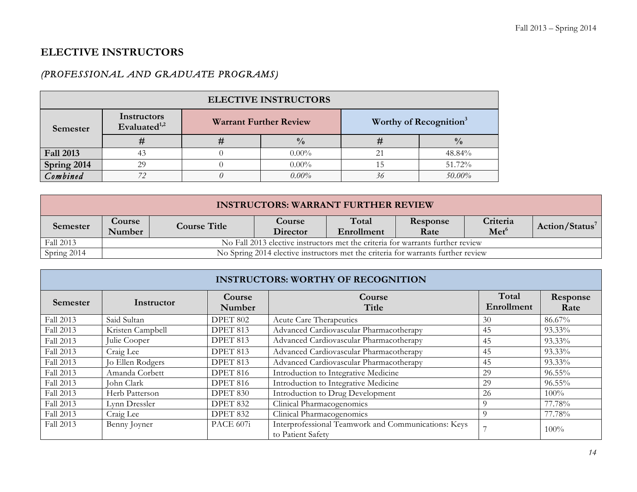### **ELECTIVE INSTRUCTORS**

### *(PROFESSIONAL AND GRADUATE PROGRAMS)*

| <b>ELECTIVE INSTRUCTORS</b> |                                         |                               |               |                                    |               |  |  |
|-----------------------------|-----------------------------------------|-------------------------------|---------------|------------------------------------|---------------|--|--|
| <b>Semester</b>             | Instructors<br>Evaluated <sup>1,2</sup> | <b>Warrant Further Review</b> |               | Worthy of Recognition <sup>3</sup> |               |  |  |
|                             | Ħ                                       |                               | $\frac{0}{0}$ |                                    | $\frac{0}{0}$ |  |  |
| <b>Fall 2013</b>            | 43                                      |                               | $0.00\%$      |                                    | 48.84%        |  |  |
| Spring 2014                 | 29                                      |                               | $0.00\%$      |                                    | 51.72%        |  |  |
| Combined                    |                                         |                               | $0.00\%$      |                                    | 50.00%        |  |  |

| <b>INSTRUCTORS: WARRANT FURTHER REVIEW</b> |                         |                                                                                |                                                                                  |                     |                  |                              |                            |  |
|--------------------------------------------|-------------------------|--------------------------------------------------------------------------------|----------------------------------------------------------------------------------|---------------------|------------------|------------------------------|----------------------------|--|
| Semester                                   | <b>Course</b><br>Number | <b>Course Title</b>                                                            | <b>Course</b><br>Director                                                        | Total<br>Enrollment | Response<br>Rate | Criteria<br>Met <sup>6</sup> | Action/Status <sup>7</sup> |  |
| Fall 2013                                  |                         | No Fall 2013 elective instructors met the criteria for warrants further review |                                                                                  |                     |                  |                              |                            |  |
| Spring 2014                                |                         |                                                                                | No Spring 2014 elective instructors met the criteria for warrants further review |                     |                  |                              |                            |  |

| <b>INSTRUCTORS: WORTHY OF RECOGNITION</b> |                  |                  |                                                                          |                     |                  |  |  |
|-------------------------------------------|------------------|------------------|--------------------------------------------------------------------------|---------------------|------------------|--|--|
| Semester                                  | Instructor       | Course<br>Number | Course<br>Title                                                          | Total<br>Enrollment | Response<br>Rate |  |  |
| Fall 2013                                 | Said Sultan      | DPET 802         | Acute Care Therapeutics                                                  | 30                  | 86.67%           |  |  |
| Fall 2013                                 | Kristen Campbell | DPET 813         | Advanced Cardiovascular Pharmacotherapy                                  | 45                  | 93.33%           |  |  |
| Fall 2013                                 | Julie Cooper     | DPET 813         | Advanced Cardiovascular Pharmacotherapy                                  | 45                  | 93.33%           |  |  |
| Fall 2013                                 | Craig Lee        | DPET 813         | Advanced Cardiovascular Pharmacotherapy                                  | 45                  | 93.33%           |  |  |
| Fall 2013                                 | Jo Ellen Rodgers | DPET 813         | Advanced Cardiovascular Pharmacotherapy                                  | 45                  | 93.33%           |  |  |
| Fall 2013                                 | Amanda Corbett   | <b>DPET 816</b>  | Introduction to Integrative Medicine                                     | 29                  | 96.55%           |  |  |
| Fall 2013                                 | John Clark       | <b>DPET 816</b>  | Introduction to Integrative Medicine                                     | 29                  | $96.55\%$        |  |  |
| Fall 2013                                 | Herb Patterson   | DPET 830         | Introduction to Drug Development                                         | 26                  | 100%             |  |  |
| Fall 2013                                 | Lynn Dressler    | DPET 832         | Clinical Pharmacogenomics                                                | $\Omega$            | 77.78%           |  |  |
| Fall 2013                                 | Craig Lee        | DPET 832         | Clinical Pharmacogenomics                                                | 9                   | 77.78%           |  |  |
| Fall 2013                                 | Benny Joyner     | PACE 607i        | Interprofessional Teamwork and Communications: Keys<br>to Patient Safety |                     | $100\%$          |  |  |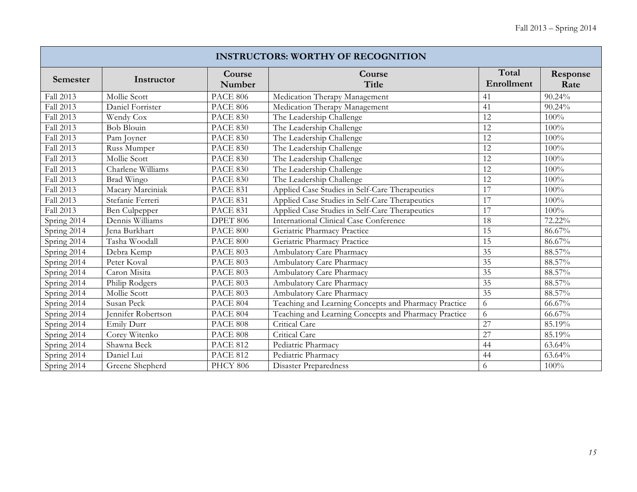| <b>INSTRUCTORS: WORTHY OF RECOGNITION</b> |                      |                  |                                                      |                     |                  |  |  |
|-------------------------------------------|----------------------|------------------|------------------------------------------------------|---------------------|------------------|--|--|
| Semester                                  | Instructor           | Course<br>Number | Course<br><b>Title</b>                               | Total<br>Enrollment | Response<br>Rate |  |  |
| Fall 2013                                 | Mollie Scott         | <b>PACE 806</b>  | Medication Therapy Management                        | 41                  | 90.24%           |  |  |
| Fall 2013                                 | Daniel Forrister     | <b>PACE 806</b>  | Medication Therapy Management                        | 41                  | 90.24%           |  |  |
| Fall 2013                                 | Wendy Cox            | <b>PACE 830</b>  | The Leadership Challenge                             | 12                  | 100%             |  |  |
| Fall 2013                                 | <b>Bob Blouin</b>    | <b>PACE 830</b>  | The Leadership Challenge                             | $\overline{12}$     | 100%             |  |  |
| Fall 2013                                 | Pam Joyner           | <b>PACE 830</b>  | The Leadership Challenge                             | $\overline{12}$     | 100%             |  |  |
| Fall 2013                                 | Russ Mumper          | <b>PACE 830</b>  | The Leadership Challenge                             | 12                  | 100%             |  |  |
| Fall 2013                                 | Mollie Scott         | <b>PACE 830</b>  | The Leadership Challenge                             | 12                  | 100%             |  |  |
| Fall 2013                                 | Charlene Williams    | <b>PACE 830</b>  | The Leadership Challenge                             | $\overline{12}$     | 100%             |  |  |
| Fall 2013                                 | Brad Wingo           | <b>PACE 830</b>  | The Leadership Challenge                             | 12                  | 100%             |  |  |
| Fall 2013                                 | Macary Marciniak     | <b>PACE 831</b>  | Applied Case Studies in Self-Care Therapeutics       | 17                  | 100%             |  |  |
| Fall 2013                                 | Stefanie Ferreri     | <b>PACE 831</b>  | Applied Case Studies in Self-Care Therapeutics       | 17                  | 100%             |  |  |
| Fall 2013                                 | <b>Ben</b> Culpepper | <b>PACE 831</b>  | Applied Case Studies in Self-Care Therapeutics       | 17                  | 100%             |  |  |
| Spring 2014                               | Dennis Williams      | DPET 806         | International Clinical Case Conference               | 18                  | 72.22%           |  |  |
| Spring 2014                               | Jena Burkhart        | <b>PACE 800</b>  | Geriatric Pharmacy Practice                          | 15                  | 86.67%           |  |  |
| Spring 2014                               | Tasha Woodall        | <b>PACE 800</b>  | Geriatric Pharmacy Practice                          | $\overline{15}$     | 86.67%           |  |  |
| Spring 2014                               | Debra Kemp           | PACE 803         | Ambulatory Care Pharmacy                             | 35                  | 88.57%           |  |  |
| Spring 2014                               | Peter Koval          | <b>PACE 803</b>  | Ambulatory Care Pharmacy                             | 35                  | 88.57%           |  |  |
| Spring 2014                               | Caron Misita         | <b>PACE 803</b>  | Ambulatory Care Pharmacy                             | $\overline{35}$     | 88.57%           |  |  |
| Spring 2014                               | Philip Rodgers       | PACE 803         | Ambulatory Care Pharmacy                             | 35                  | 88.57%           |  |  |
| Spring 2014                               | Mollie Scott         | <b>PACE 803</b>  | Ambulatory Care Pharmacy                             | 35                  | 88.57%           |  |  |
| Spring 2014                               | Susan Peck           | <b>PACE 804</b>  | Teaching and Learning Concepts and Pharmacy Practice | 6                   | 66.67%           |  |  |
| Spring 2014                               | Jennifer Robertson   | <b>PACE 804</b>  | Teaching and Learning Concepts and Pharmacy Practice | 6                   | 66.67%           |  |  |
| Spring 2014                               | Emily Durr           | <b>PACE 808</b>  | Critical Care                                        | 27                  | 85.19%           |  |  |
| Spring 2014                               | Corey Witenko        | PACE 808         | Critical Care                                        | 27                  | 85.19%           |  |  |
| Spring 2014                               | Shawna Beck          | <b>PACE 812</b>  | Pediatric Pharmacy                                   | 44                  | 63.64%           |  |  |
| Spring 2014                               | Daniel Lui           | <b>PACE 812</b>  | Pediatric Pharmacy                                   | 44                  | 63.64%           |  |  |
| Spring 2014                               | Greene Shepherd      | <b>PHCY 806</b>  | <b>Disaster Preparedness</b>                         | 6                   | 100%             |  |  |